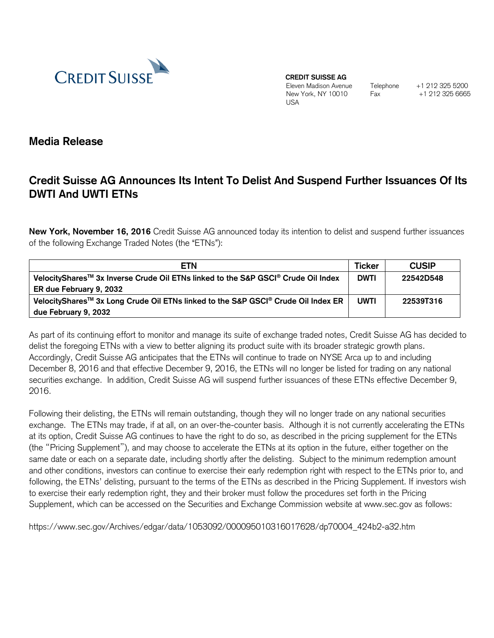

**CREDIT SUISSE AG**

Eleven Madison Avenue New York, NY 10010 USA

Telephone +1 212 325 5200 Fax +1 212 325 6665

**Media Release**

## **Credit Suisse AG Announces Its Intent To Delist And Suspend Further Issuances Of Its DWTI And UWTI ETNs**

**New York, November 16, 2016** Credit Suisse AG announced today its intention to delist and suspend further issuances of the following Exchange Traded Notes (the "ETNs"):

| <b>ETN</b>                                                                                                | <b>Ticker</b> | <b>CUSIP</b> |
|-----------------------------------------------------------------------------------------------------------|---------------|--------------|
| VelocityShares™ 3x Inverse Crude Oil ETNs linked to the S&P GSCI® Crude Oil Index                         | <b>DWTI</b>   | 22542D548    |
| ER due February 9, 2032                                                                                   |               |              |
| VelocityShares <sup>™</sup> 3x Long Crude Oil ETNs linked to the S&P GSCI <sup>®</sup> Crude Oil Index ER | <b>UWTI</b>   | 22539T316    |
| due February 9, 2032                                                                                      |               |              |

As part of its continuing effort to monitor and manage its suite of exchange traded notes, Credit Suisse AG has decided to delist the foregoing ETNs with a view to better aligning its product suite with its broader strategic growth plans. Accordingly, Credit Suisse AG anticipates that the ETNs will continue to trade on NYSE Arca up to and including December 8, 2016 and that effective December 9, 2016, the ETNs will no longer be listed for trading on any national securities exchange. In addition, Credit Suisse AG will suspend further issuances of these ETNs effective December 9, 2016.

Following their delisting, the ETNs will remain outstanding, though they will no longer trade on any national securities exchange. The ETNs may trade, if at all, on an over-the-counter basis. Although it is not currently accelerating the ETNs at its option, Credit Suisse AG continues to have the right to do so, as described in the pricing supplement for the ETNs (the "Pricing Supplement"), and may choose to accelerate the ETNs at its option in the future, either together on the same date or each on a separate date, including shortly after the delisting. Subject to the minimum redemption amount and other conditions, investors can continue to exercise their early redemption right with respect to the ETNs prior to, and following, the ETNs' delisting, pursuant to the terms of the ETNs as described in the Pricing Supplement. If investors wish to exercise their early redemption right, they and their broker must follow the procedures set forth in the Pricing Supplement, which can be accessed on the Securities and Exchange Commission website at www.sec.gov as follows:

https://www.sec.gov/Archives/edgar/data/1053092/000095010316017628/dp70004\_424b2-a32.htm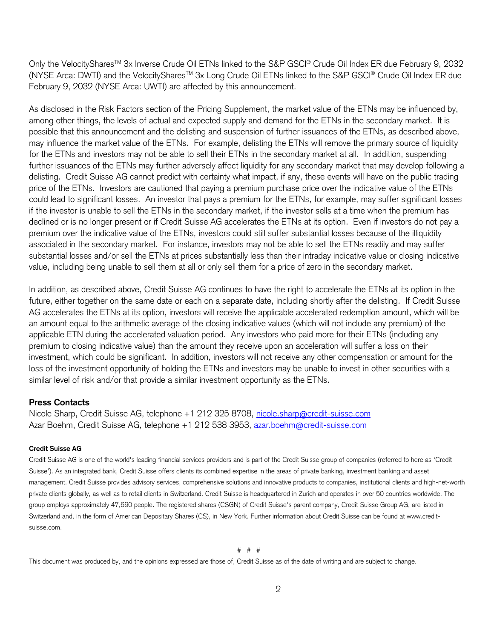Only the VelocityShares™ 3x Inverse Crude Oil ETNs linked to the S&P GSCI® Crude Oil Index ER due February 9, 2032 (NYSE Arca: DWTI) and the VelocitySharesTM 3x Long Crude Oil ETNs linked to the S&P GSCI® Crude Oil Index ER due February 9, 2032 (NYSE Arca: UWTI) are affected by this announcement.

As disclosed in the Risk Factors section of the Pricing Supplement, the market value of the ETNs may be influenced by, among other things, the levels of actual and expected supply and demand for the ETNs in the secondary market. It is possible that this announcement and the delisting and suspension of further issuances of the ETNs, as described above, may influence the market value of the ETNs. For example, delisting the ETNs will remove the primary source of liquidity for the ETNs and investors may not be able to sell their ETNs in the secondary market at all. In addition, suspending further issuances of the ETNs may further adversely affect liquidity for any secondary market that may develop following a delisting. Credit Suisse AG cannot predict with certainty what impact, if any, these events will have on the public trading price of the ETNs. Investors are cautioned that paying a premium purchase price over the indicative value of the ETNs could lead to significant losses. An investor that pays a premium for the ETNs, for example, may suffer significant losses if the investor is unable to sell the ETNs in the secondary market, if the investor sells at a time when the premium has declined or is no longer present or if Credit Suisse AG accelerates the ETNs at its option. Even if investors do not pay a premium over the indicative value of the ETNs, investors could still suffer substantial losses because of the illiquidity associated in the secondary market. For instance, investors may not be able to sell the ETNs readily and may suffer substantial losses and/or sell the ETNs at prices substantially less than their intraday indicative value or closing indicative value, including being unable to sell them at all or only sell them for a price of zero in the secondary market.

In addition, as described above, Credit Suisse AG continues to have the right to accelerate the ETNs at its option in the future, either together on the same date or each on a separate date, including shortly after the delisting. If Credit Suisse AG accelerates the ETNs at its option, investors will receive the applicable accelerated redemption amount, which will be an amount equal to the arithmetic average of the closing indicative values (which will not include any premium) of the applicable ETN during the accelerated valuation period. Any investors who paid more for their ETNs (including any premium to closing indicative value) than the amount they receive upon an acceleration will suffer a loss on their investment, which could be significant. In addition, investors will not receive any other compensation or amount for the loss of the investment opportunity of holding the ETNs and investors may be unable to invest in other securities with a similar level of risk and/or that provide a similar investment opportunity as the ETNs.

## **Press Contacts**

Nicole Sharp, Credit Suisse AG, telephone +1 212 325 8708, [nicole.sharp@credit-suisse.com](mailto:nicole.sharp@credit-suisse.com) Azar Boehm, Credit Suisse AG, telephone +1 212 538 3953, [azar.boehm@credit-suisse.com](mailto:azar.boehm@credit-suisse.com)

## **Credit Suisse AG**

Credit Suisse AG is one of the world's leading financial services providers and is part of the Credit Suisse group of companies (referred to here as 'Credit Suisse'). As an integrated bank, Credit Suisse offers clients its combined expertise in the areas of private banking, investment banking and asset management. Credit Suisse provides advisory services, comprehensive solutions and innovative products to companies, institutional clients and high-net-worth private clients globally, as well as to retail clients in Switzerland. Credit Suisse is headquartered in Zurich and operates in over 50 countries worldwide. The group employs approximately 47,690 people. The registered shares (CSGN) of Credit Suisse's parent company, Credit Suisse Group AG, are listed in Switzerland and, in the form of American Depositary Shares (CS), in New York. Further information about Credit Suisse can be found at www.creditsuisse.com.

# # #

This document was produced by, and the opinions expressed are those of, Credit Suisse as of the date of writing and are subject to change.